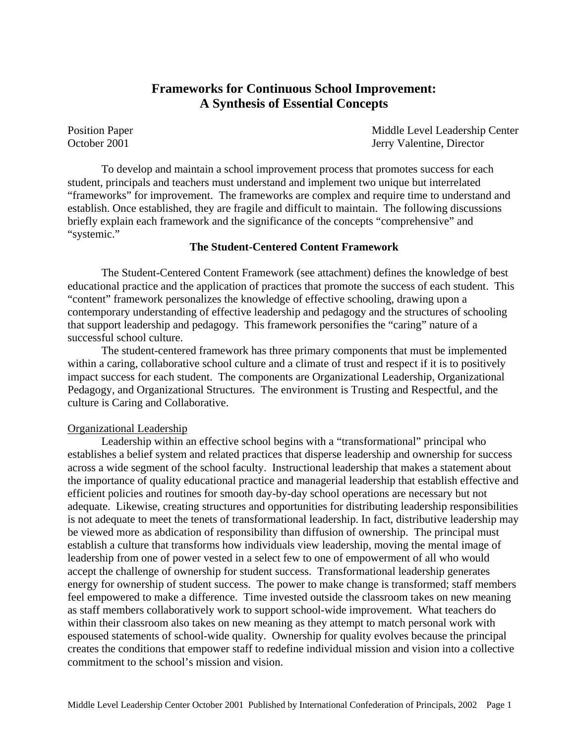# **Frameworks for Continuous School Improvement: A Synthesis of Essential Concepts**

Position Paper **Middle Level Leadership Center** October 2001 Jerry Valentine, Director

To develop and maintain a school improvement process that promotes success for each student, principals and teachers must understand and implement two unique but interrelated "frameworks" for improvement. The frameworks are complex and require time to understand and establish. Once established, they are fragile and difficult to maintain. The following discussions briefly explain each framework and the significance of the concepts "comprehensive" and "systemic."

# **The Student-Centered Content Framework**

The Student-Centered Content Framework (see attachment) defines the knowledge of best educational practice and the application of practices that promote the success of each student. This "content" framework personalizes the knowledge of effective schooling, drawing upon a contemporary understanding of effective leadership and pedagogy and the structures of schooling that support leadership and pedagogy. This framework personifies the "caring" nature of a successful school culture.

The student-centered framework has three primary components that must be implemented within a caring, collaborative school culture and a climate of trust and respect if it is to positively impact success for each student. The components are Organizational Leadership, Organizational Pedagogy, and Organizational Structures. The environment is Trusting and Respectful, and the culture is Caring and Collaborative.

# Organizational Leadership

Leadership within an effective school begins with a "transformational" principal who establishes a belief system and related practices that disperse leadership and ownership for success across a wide segment of the school faculty. Instructional leadership that makes a statement about the importance of quality educational practice and managerial leadership that establish effective and efficient policies and routines for smooth day-by-day school operations are necessary but not adequate. Likewise, creating structures and opportunities for distributing leadership responsibilities is not adequate to meet the tenets of transformational leadership. In fact, distributive leadership may be viewed more as abdication of responsibility than diffusion of ownership. The principal must establish a culture that transforms how individuals view leadership, moving the mental image of leadership from one of power vested in a select few to one of empowerment of all who would accept the challenge of ownership for student success. Transformational leadership generates energy for ownership of student success. The power to make change is transformed; staff members feel empowered to make a difference. Time invested outside the classroom takes on new meaning as staff members collaboratively work to support school-wide improvement. What teachers do within their classroom also takes on new meaning as they attempt to match personal work with espoused statements of school-wide quality. Ownership for quality evolves because the principal creates the conditions that empower staff to redefine individual mission and vision into a collective commitment to the school's mission and vision.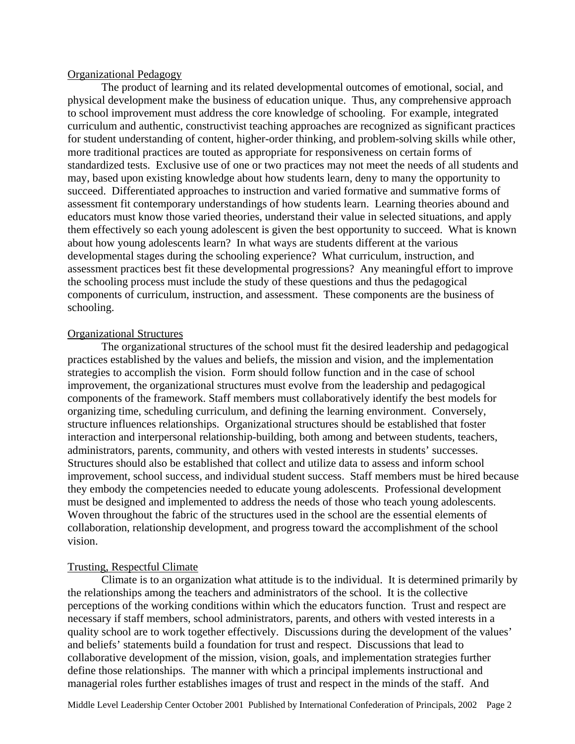#### Organizational Pedagogy

The product of learning and its related developmental outcomes of emotional, social, and physical development make the business of education unique. Thus, any comprehensive approach to school improvement must address the core knowledge of schooling. For example, integrated curriculum and authentic, constructivist teaching approaches are recognized as significant practices for student understanding of content, higher-order thinking, and problem-solving skills while other, more traditional practices are touted as appropriate for responsiveness on certain forms of standardized tests. Exclusive use of one or two practices may not meet the needs of all students and may, based upon existing knowledge about how students learn, deny to many the opportunity to succeed. Differentiated approaches to instruction and varied formative and summative forms of assessment fit contemporary understandings of how students learn. Learning theories abound and educators must know those varied theories, understand their value in selected situations, and apply them effectively so each young adolescent is given the best opportunity to succeed. What is known about how young adolescents learn? In what ways are students different at the various developmental stages during the schooling experience? What curriculum, instruction, and assessment practices best fit these developmental progressions? Any meaningful effort to improve the schooling process must include the study of these questions and thus the pedagogical components of curriculum, instruction, and assessment. These components are the business of schooling.

# Organizational Structures

The organizational structures of the school must fit the desired leadership and pedagogical practices established by the values and beliefs, the mission and vision, and the implementation strategies to accomplish the vision. Form should follow function and in the case of school improvement, the organizational structures must evolve from the leadership and pedagogical components of the framework. Staff members must collaboratively identify the best models for organizing time, scheduling curriculum, and defining the learning environment. Conversely, structure influences relationships. Organizational structures should be established that foster interaction and interpersonal relationship-building, both among and between students, teachers, administrators, parents, community, and others with vested interests in students' successes. Structures should also be established that collect and utilize data to assess and inform school improvement, school success, and individual student success. Staff members must be hired because they embody the competencies needed to educate young adolescents. Professional development must be designed and implemented to address the needs of those who teach young adolescents. Woven throughout the fabric of the structures used in the school are the essential elements of collaboration, relationship development, and progress toward the accomplishment of the school vision.

# Trusting, Respectful Climate

Climate is to an organization what attitude is to the individual. It is determined primarily by the relationships among the teachers and administrators of the school. It is the collective perceptions of the working conditions within which the educators function. Trust and respect are necessary if staff members, school administrators, parents, and others with vested interests in a quality school are to work together effectively. Discussions during the development of the values' and beliefs' statements build a foundation for trust and respect. Discussions that lead to collaborative development of the mission, vision, goals, and implementation strategies further define those relationships. The manner with which a principal implements instructional and managerial roles further establishes images of trust and respect in the minds of the staff. And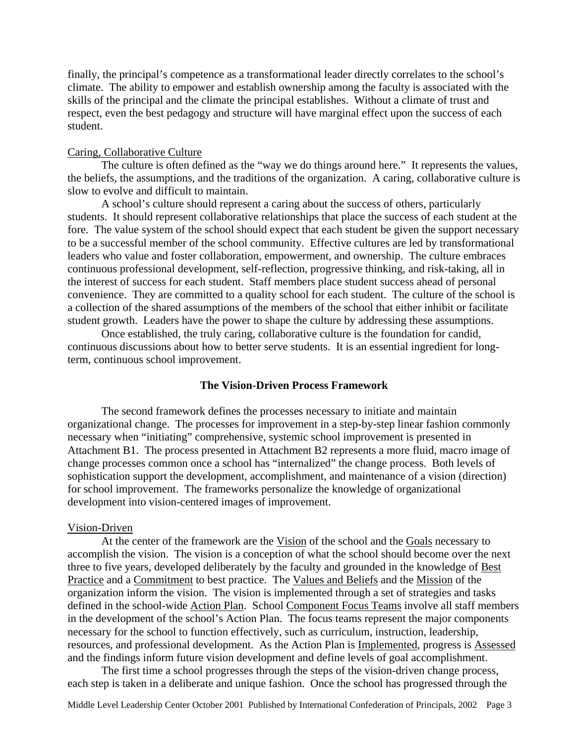finally, the principal's competence as a transformational leader directly correlates to the school's climate. The ability to empower and establish ownership among the faculty is associated with the skills of the principal and the climate the principal establishes. Without a climate of trust and respect, even the best pedagogy and structure will have marginal effect upon the success of each student.

# Caring, Collaborative Culture

The culture is often defined as the "way we do things around here." It represents the values, the beliefs, the assumptions, and the traditions of the organization. A caring, collaborative culture is slow to evolve and difficult to maintain.

A school's culture should represent a caring about the success of others, particularly students. It should represent collaborative relationships that place the success of each student at the fore. The value system of the school should expect that each student be given the support necessary to be a successful member of the school community. Effective cultures are led by transformational leaders who value and foster collaboration, empowerment, and ownership. The culture embraces continuous professional development, self-reflection, progressive thinking, and risk-taking, all in the interest of success for each student. Staff members place student success ahead of personal convenience. They are committed to a quality school for each student. The culture of the school is a collection of the shared assumptions of the members of the school that either inhibit or facilitate student growth. Leaders have the power to shape the culture by addressing these assumptions.

Once established, the truly caring, collaborative culture is the foundation for candid, continuous discussions about how to better serve students. It is an essential ingredient for longterm, continuous school improvement.

#### **The Vision-Driven Process Framework**

The second framework defines the processes necessary to initiate and maintain organizational change. The processes for improvement in a step-by-step linear fashion commonly necessary when "initiating" comprehensive, systemic school improvement is presented in Attachment B1. The process presented in Attachment B2 represents a more fluid, macro image of change processes common once a school has "internalized" the change process. Both levels of sophistication support the development, accomplishment, and maintenance of a vision (direction) for school improvement. The frameworks personalize the knowledge of organizational development into vision-centered images of improvement.

#### Vision-Driven

At the center of the framework are the Vision of the school and the Goals necessary to accomplish the vision. The vision is a conception of what the school should become over the next three to five years, developed deliberately by the faculty and grounded in the knowledge of Best Practice and a Commitment to best practice. The Values and Beliefs and the Mission of the organization inform the vision. The vision is implemented through a set of strategies and tasks defined in the school-wide Action Plan. School Component Focus Teams involve all staff members in the development of the school's Action Plan. The focus teams represent the major components necessary for the school to function effectively, such as curriculum, instruction, leadership, resources, and professional development. As the Action Plan is Implemented, progress is Assessed and the findings inform future vision development and define levels of goal accomplishment.

The first time a school progresses through the steps of the vision-driven change process, each step is taken in a deliberate and unique fashion. Once the school has progressed through the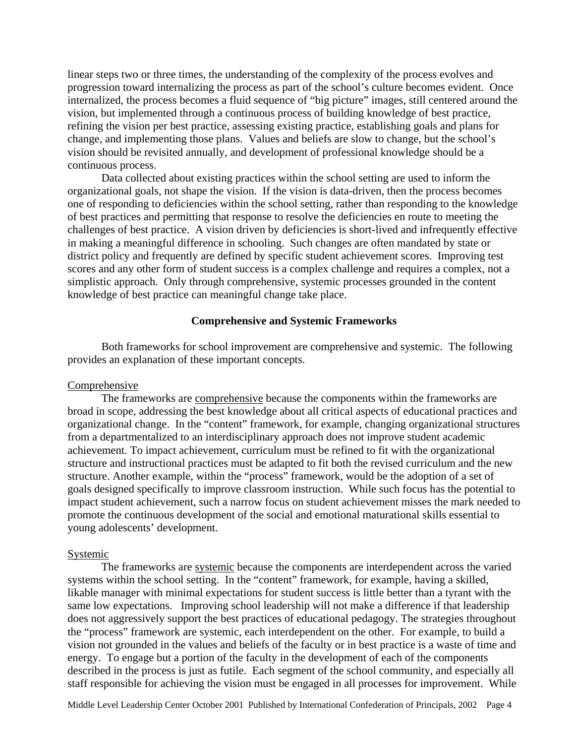linear steps two or three times, the understanding of the complexity of the process evolves and progression toward internalizing the process as part of the school's culture becomes evident. Once internalized, the process becomes a fluid sequence of "big picture" images, still centered around the vision, but implemented through a continuous process of building knowledge of best practice, refining the vision per best practice, assessing existing practice, establishing goals and plans for change, and implementing those plans. Values and beliefs are slow to change, but the school's vision should be revisited annually, and development of professional knowledge should be a continuous process.

Data collected about existing practices within the school setting are used to inform the organizational goals, not shape the vision. If the vision is data-driven, then the process becomes one of responding to deficiencies within the school setting, rather than responding to the knowledge of best practices and permitting that response to resolve the deficiencies en route to meeting the challenges of best practice. A vision driven by deficiencies is short-lived and infrequently effective in making a meaningful difference in schooling. Such changes are often mandated by state or district policy and frequently are defined by specific student achievement scores. Improving test scores and any other form of student success is a complex challenge and requires a complex, not a simplistic approach. Only through comprehensive, systemic processes grounded in the content knowledge of best practice can meaningful change take place.

### **Comprehensive and Systemic Frameworks**

Both frameworks for school improvement are comprehensive and systemic. The following provides an explanation of these important concepts.

#### Comprehensive

The frameworks are comprehensive because the components within the frameworks are broad in scope, addressing the best knowledge about all critical aspects of educational practices and organizational change. In the "content" framework, for example, changing organizational structures from a departmentalized to an interdisciplinary approach does not improve student academic achievement. To impact achievement, curriculum must be refined to fit with the organizational structure and instructional practices must be adapted to fit both the revised curriculum and the new structure. Another example, within the "process" framework, would be the adoption of a set of goals designed specifically to improve classroom instruction. While such focus has the potential to impact student achievement, such a narrow focus on student achievement misses the mark needed to promote the continuous development of the social and emotional maturational skills essential to young adolescents' development.

#### Systemic

The frameworks are systemic because the components are interdependent across the varied systems within the school setting. In the "content" framework, for example, having a skilled, likable manager with minimal expectations for student success is little better than a tyrant with the same low expectations. Improving school leadership will not make a difference if that leadership does not aggressively support the best practices of educational pedagogy. The strategies throughout the "process" framework are systemic, each interdependent on the other. For example, to build a vision not grounded in the values and beliefs of the faculty or in best practice is a waste of time and energy. To engage but a portion of the faculty in the development of each of the components described in the process is just as futile. Each segment of the school community, and especially all staff responsible for achieving the vision must be engaged in all processes for improvement. While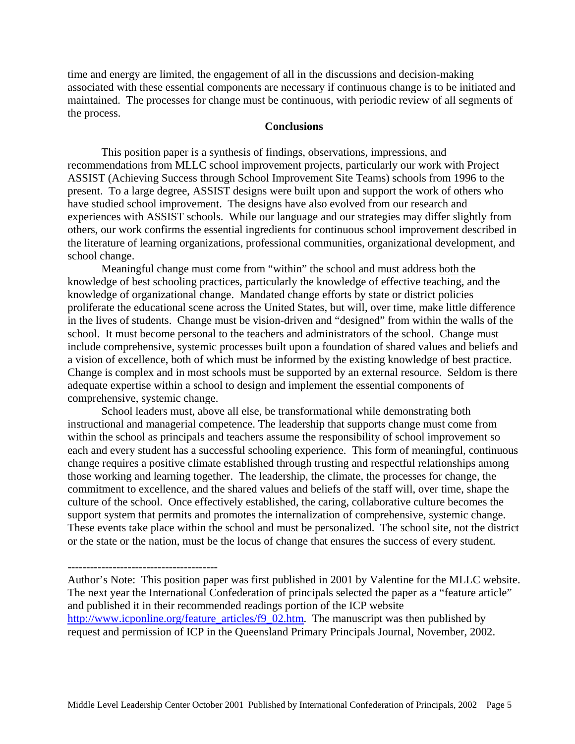time and energy are limited, the engagement of all in the discussions and decision-making associated with these essential components are necessary if continuous change is to be initiated and maintained. The processes for change must be continuous, with periodic review of all segments of the process.

# **Conclusions**

This position paper is a synthesis of findings, observations, impressions, and recommendations from MLLC school improvement projects, particularly our work with Project ASSIST (Achieving Success through School Improvement Site Teams) schools from 1996 to the present. To a large degree, ASSIST designs were built upon and support the work of others who have studied school improvement. The designs have also evolved from our research and experiences with ASSIST schools. While our language and our strategies may differ slightly from others, our work confirms the essential ingredients for continuous school improvement described in the literature of learning organizations, professional communities, organizational development, and school change.

Meaningful change must come from "within" the school and must address both the knowledge of best schooling practices, particularly the knowledge of effective teaching, and the knowledge of organizational change. Mandated change efforts by state or district policies proliferate the educational scene across the United States, but will, over time, make little difference in the lives of students. Change must be vision-driven and "designed" from within the walls of the school. It must become personal to the teachers and administrators of the school. Change must include comprehensive, systemic processes built upon a foundation of shared values and beliefs and a vision of excellence, both of which must be informed by the existing knowledge of best practice. Change is complex and in most schools must be supported by an external resource. Seldom is there adequate expertise within a school to design and implement the essential components of comprehensive, systemic change.

School leaders must, above all else, be transformational while demonstrating both instructional and managerial competence. The leadership that supports change must come from within the school as principals and teachers assume the responsibility of school improvement so each and every student has a successful schooling experience. This form of meaningful, continuous change requires a positive climate established through trusting and respectful relationships among those working and learning together. The leadership, the climate, the processes for change, the commitment to excellence, and the shared values and beliefs of the staff will, over time, shape the culture of the school. Once effectively established, the caring, collaborative culture becomes the support system that permits and promotes the internalization of comprehensive, systemic change. These events take place within the school and must be personalized. The school site, not the district or the state or the nation, must be the locus of change that ensures the success of every student.

----------------------------------------

Author's Note: This position paper was first published in 2001 by Valentine for the MLLC website. The next year the International Confederation of principals selected the paper as a "feature article" and published it in their recommended readings portion of the ICP website [http://www.icponline.org/feature\\_articles/f9\\_02.htm.](http://www.icponline.org/feature_articles/f9_02.htm) The manuscript was then published by request and permission of ICP in the Queensland Primary Principals Journal, November, 2002.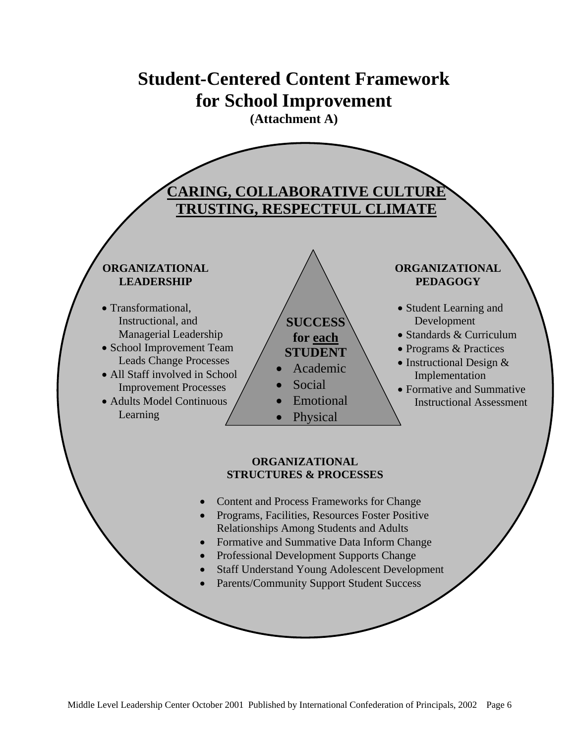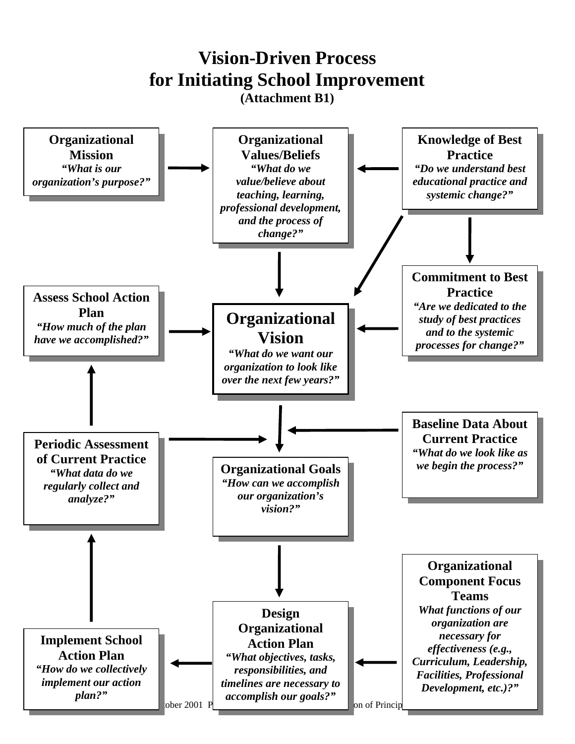# **for Initiating School Improvement Vision-Driven Process**

**(Attachment B1)** 

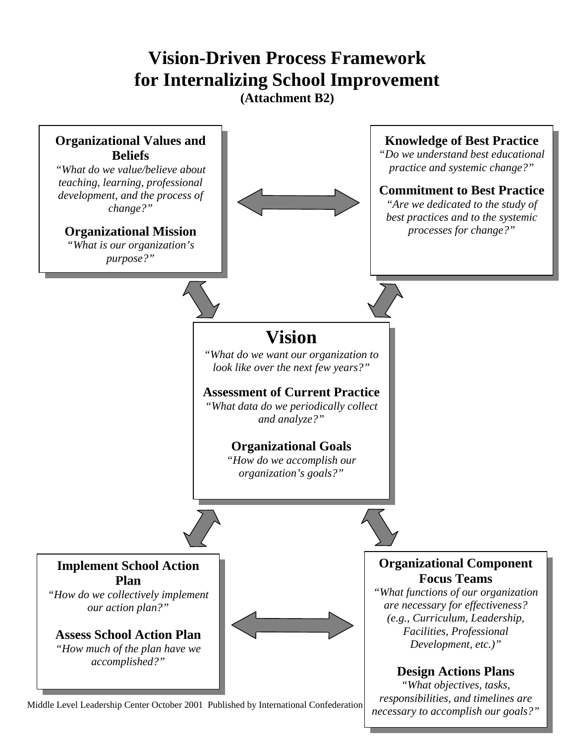# **for Internalizing School Improvement Vision-Driven Process Framework**

**(Attachment B2)** 



*necessary to accomplish our goals?"* 

Middle Level Leadership Center October 2001 Published by International Confederation